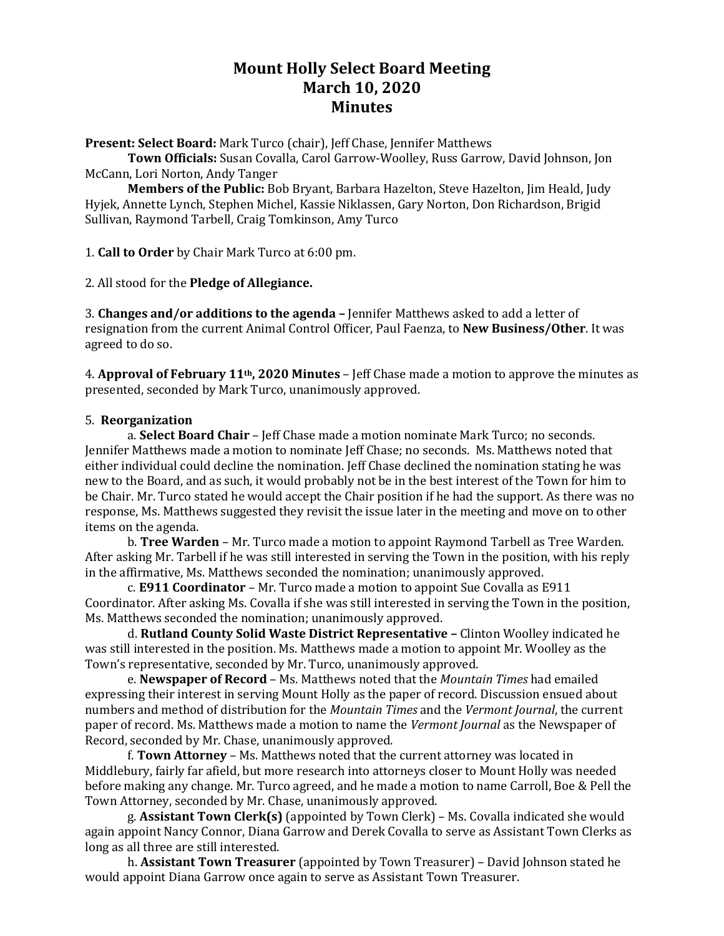# **Mount Holly Select Board Meeting March 10, 2020 Minutes**

**Present: Select Board:** Mark Turco (chair), Jeff Chase, Jennifer Matthews

**Town Officials:** Susan Covalla, Carol Garrow-Woolley, Russ Garrow, David Johnson, Jon McCann, Lori Norton, Andy Tanger

**Members of the Public:** Bob Bryant, Barbara Hazelton, Steve Hazelton, Jim Heald, Judy Hyjek, Annette Lynch, Stephen Michel, Kassie Niklassen, Gary Norton, Don Richardson, Brigid Sullivan, Raymond Tarbell, Craig Tomkinson, Amy Turco

1. **Call to Order** by Chair Mark Turco at 6:00 pm.

2. All stood for the **Pledge of Allegiance.**

3. **Changes and/or additions to the agenda –** Jennifer Matthews asked to add a letter of resignation from the current Animal Control Officer, Paul Faenza, to **New Business/Other**. It was agreed to do so.

4. **Approval of February 11th, 2020 Minutes** – Jeff Chase made a motion to approve the minutes as presented, seconded by Mark Turco, unanimously approved.

### 5. **Reorganization**

a. **Select Board Chair** – Jeff Chase made a motion nominate Mark Turco; no seconds. Jennifer Matthews made a motion to nominate Jeff Chase; no seconds. Ms. Matthews noted that either individual could decline the nomination. Jeff Chase declined the nomination stating he was new to the Board, and as such, it would probably not be in the best interest of the Town for him to be Chair. Mr. Turco stated he would accept the Chair position if he had the support. As there was no response, Ms. Matthews suggested they revisit the issue later in the meeting and move on to other items on the agenda.

b. **Tree Warden** – Mr. Turco made a motion to appoint Raymond Tarbell as Tree Warden. After asking Mr. Tarbell if he was still interested in serving the Town in the position, with his reply in the affirmative, Ms. Matthews seconded the nomination; unanimously approved.

c. **E911 Coordinator** – Mr. Turco made a motion to appoint Sue Covalla as E911 Coordinator. After asking Ms. Covalla if she was still interested in serving the Town in the position, Ms. Matthews seconded the nomination; unanimously approved.

d. **Rutland County Solid Waste District Representative –** Clinton Woolley indicated he was still interested in the position. Ms. Matthews made a motion to appoint Mr. Woolley as the Town's representative, seconded by Mr. Turco, unanimously approved.

e. **Newspaper of Record** – Ms. Matthews noted that the *Mountain Times* had emailed expressing their interest in serving Mount Holly as the paper of record. Discussion ensued about numbers and method of distribution for the *Mountain Times* and the *Vermont Journal*, the current paper of record. Ms. Matthews made a motion to name the *Vermont Journal* as the Newspaper of Record, seconded by Mr. Chase, unanimously approved.

f. **Town Attorney** – Ms. Matthews noted that the current attorney was located in Middlebury, fairly far afield, but more research into attorneys closer to Mount Holly was needed before making any change. Mr. Turco agreed, and he made a motion to name Carroll, Boe & Pell the Town Attorney, seconded by Mr. Chase, unanimously approved.

g. **Assistant Town Clerk(s)** (appointed by Town Clerk) – Ms. Covalla indicated she would again appoint Nancy Connor, Diana Garrow and Derek Covalla to serve as Assistant Town Clerks as long as all three are still interested.

h. **Assistant Town Treasurer** (appointed by Town Treasurer) – David Johnson stated he would appoint Diana Garrow once again to serve as Assistant Town Treasurer.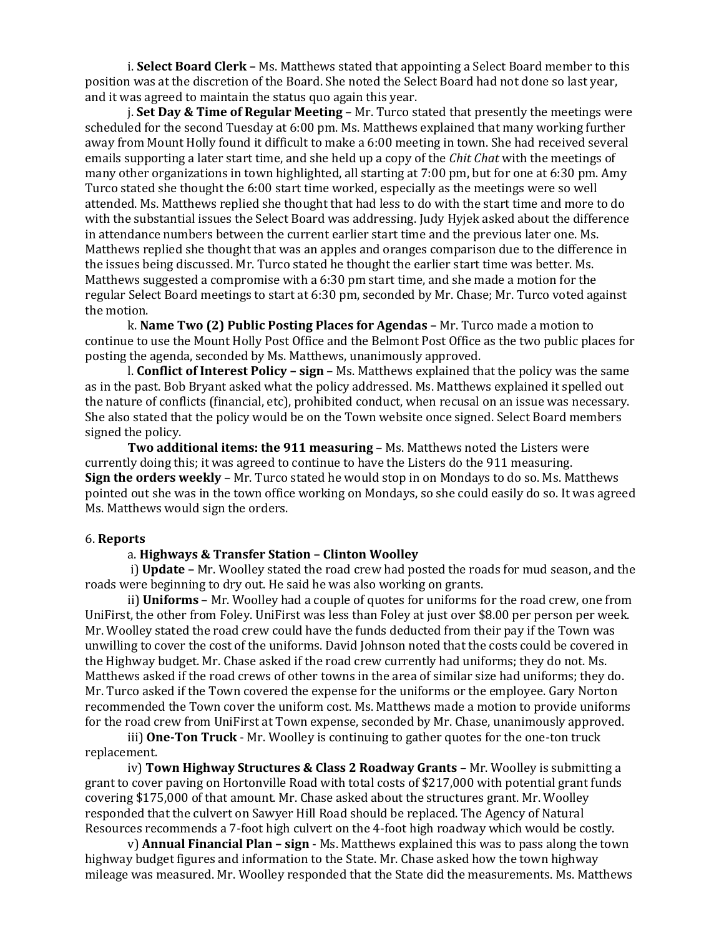i. **Select Board Clerk –** Ms. Matthews stated that appointing a Select Board member to this position was at the discretion of the Board. She noted the Select Board had not done so last year, and it was agreed to maintain the status quo again this year.

j. **Set Day & Time of Regular Meeting** – Mr. Turco stated that presently the meetings were scheduled for the second Tuesday at 6:00 pm. Ms. Matthews explained that many working further away from Mount Holly found it difficult to make a 6:00 meeting in town. She had received several emails supporting a later start time, and she held up a copy of the *Chit Chat* with the meetings of many other organizations in town highlighted, all starting at 7:00 pm, but for one at 6:30 pm. Amy Turco stated she thought the 6:00 start time worked, especially as the meetings were so well attended. Ms. Matthews replied she thought that had less to do with the start time and more to do with the substantial issues the Select Board was addressing. Judy Hyjek asked about the difference in attendance numbers between the current earlier start time and the previous later one. Ms. Matthews replied she thought that was an apples and oranges comparison due to the difference in the issues being discussed. Mr. Turco stated he thought the earlier start time was better. Ms. Matthews suggested a compromise with a 6:30 pm start time, and she made a motion for the regular Select Board meetings to start at 6:30 pm, seconded by Mr. Chase; Mr. Turco voted against the motion.

k. **Name Two (2) Public Posting Places for Agendas –** Mr. Turco made a motion to continue to use the Mount Holly Post Office and the Belmont Post Office as the two public places for posting the agenda, seconded by Ms. Matthews, unanimously approved.

l. **Conflict of Interest Policy – sign** – Ms. Matthews explained that the policy was the same as in the past. Bob Bryant asked what the policy addressed. Ms. Matthews explained it spelled out the nature of conflicts (financial, etc), prohibited conduct, when recusal on an issue was necessary. She also stated that the policy would be on the Town website once signed. Select Board members signed the policy.

**Two additional items: the 911 measuring** – Ms. Matthews noted the Listers were currently doing this; it was agreed to continue to have the Listers do the 911 measuring. **Sign the orders weekly** – Mr. Turco stated he would stop in on Mondays to do so. Ms. Matthews pointed out she was in the town office working on Mondays, so she could easily do so. It was agreed Ms. Matthews would sign the orders.

#### 6. **Reports**

#### a. **Highways & Transfer Station – Clinton Woolley**

i) **Update –** Mr. Woolley stated the road crew had posted the roads for mud season, and the roads were beginning to dry out. He said he was also working on grants.

ii) **Uniforms** – Mr. Woolley had a couple of quotes for uniforms for the road crew, one from UniFirst, the other from Foley. UniFirst was less than Foley at just over \$8.00 per person per week. Mr. Woolley stated the road crew could have the funds deducted from their pay if the Town was unwilling to cover the cost of the uniforms. David Johnson noted that the costs could be covered in the Highway budget. Mr. Chase asked if the road crew currently had uniforms; they do not. Ms. Matthews asked if the road crews of other towns in the area of similar size had uniforms; they do. Mr. Turco asked if the Town covered the expense for the uniforms or the employee. Gary Norton recommended the Town cover the uniform cost. Ms. Matthews made a motion to provide uniforms for the road crew from UniFirst at Town expense, seconded by Mr. Chase, unanimously approved.

iii) **One-Ton Truck** - Mr. Woolley is continuing to gather quotes for the one-ton truck replacement.

iv) **Town Highway Structures & Class 2 Roadway Grants** – Mr. Woolley is submitting a grant to cover paving on Hortonville Road with total costs of \$217,000 with potential grant funds covering \$175,000 of that amount. Mr. Chase asked about the structures grant. Mr. Woolley responded that the culvert on Sawyer Hill Road should be replaced. The Agency of Natural Resources recommends a 7-foot high culvert on the 4-foot high roadway which would be costly.

v) **Annual Financial Plan – sign** - Ms. Matthews explained this was to pass along the town highway budget figures and information to the State. Mr. Chase asked how the town highway mileage was measured. Mr. Woolley responded that the State did the measurements. Ms. Matthews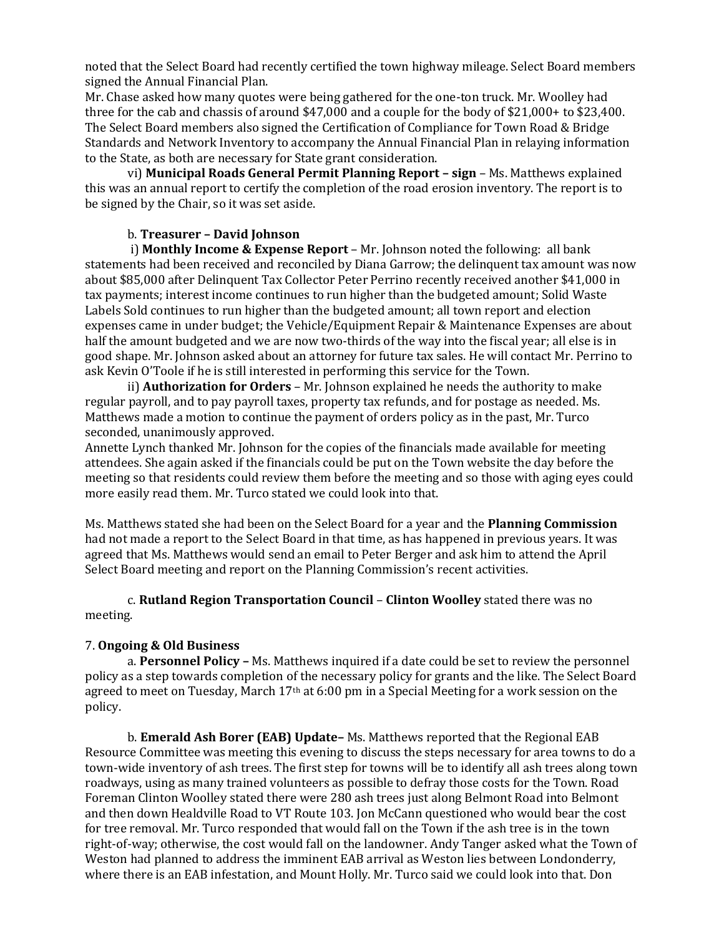noted that the Select Board had recently certified the town highway mileage. Select Board members signed the Annual Financial Plan.

Mr. Chase asked how many quotes were being gathered for the one-ton truck. Mr. Woolley had three for the cab and chassis of around \$47,000 and a couple for the body of \$21,000+ to \$23,400. The Select Board members also signed the Certification of Compliance for Town Road & Bridge Standards and Network Inventory to accompany the Annual Financial Plan in relaying information to the State, as both are necessary for State grant consideration.

vi) **Municipal Roads General Permit Planning Report – sign** – Ms. Matthews explained this was an annual report to certify the completion of the road erosion inventory. The report is to be signed by the Chair, so it was set aside.

## b. **Treasurer – David Johnson**

i) **Monthly Income & Expense Report** – Mr. Johnson noted the following: all bank statements had been received and reconciled by Diana Garrow; the delinquent tax amount was now about \$85,000 after Delinquent Tax Collector Peter Perrino recently received another \$41,000 in tax payments; interest income continues to run higher than the budgeted amount; Solid Waste Labels Sold continues to run higher than the budgeted amount; all town report and election expenses came in under budget; the Vehicle/Equipment Repair & Maintenance Expenses are about half the amount budgeted and we are now two-thirds of the way into the fiscal year; all else is in good shape. Mr. Johnson asked about an attorney for future tax sales. He will contact Mr. Perrino to ask Kevin O'Toole if he is still interested in performing this service for the Town.

ii) **Authorization for Orders** – Mr. Johnson explained he needs the authority to make regular payroll, and to pay payroll taxes, property tax refunds, and for postage as needed. Ms. Matthews made a motion to continue the payment of orders policy as in the past, Mr. Turco seconded, unanimously approved.

Annette Lynch thanked Mr. Johnson for the copies of the financials made available for meeting attendees. She again asked if the financials could be put on the Town website the day before the meeting so that residents could review them before the meeting and so those with aging eyes could more easily read them. Mr. Turco stated we could look into that.

Ms. Matthews stated she had been on the Select Board for a year and the **Planning Commission** had not made a report to the Select Board in that time, as has happened in previous years. It was agreed that Ms. Matthews would send an email to Peter Berger and ask him to attend the April Select Board meeting and report on the Planning Commission's recent activities.

c. **Rutland Region Transportation Council** – **Clinton Woolley** stated there was no meeting.

## 7. **Ongoing & Old Business**

a. **Personnel Policy –** Ms. Matthews inquired if a date could be set to review the personnel policy as a step towards completion of the necessary policy for grants and the like. The Select Board agreed to meet on Tuesday, March  $17<sup>th</sup>$  at 6:00 pm in a Special Meeting for a work session on the policy.

b. **Emerald Ash Borer (EAB) Update–** Ms. Matthews reported that the Regional EAB Resource Committee was meeting this evening to discuss the steps necessary for area towns to do a town-wide inventory of ash trees. The first step for towns will be to identify all ash trees along town roadways, using as many trained volunteers as possible to defray those costs for the Town. Road Foreman Clinton Woolley stated there were 280 ash trees just along Belmont Road into Belmont and then down Healdville Road to VT Route 103. Jon McCann questioned who would bear the cost for tree removal. Mr. Turco responded that would fall on the Town if the ash tree is in the town right-of-way; otherwise, the cost would fall on the landowner. Andy Tanger asked what the Town of Weston had planned to address the imminent EAB arrival as Weston lies between Londonderry, where there is an EAB infestation, and Mount Holly. Mr. Turco said we could look into that. Don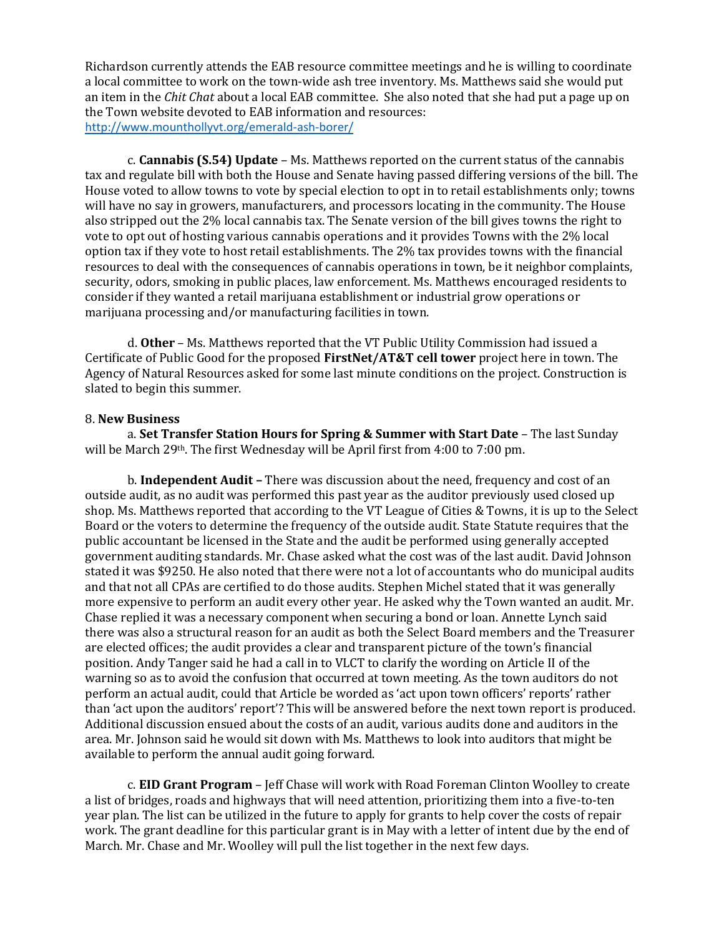Richardson currently attends the EAB resource committee meetings and he is willing to coordinate a local committee to work on the town-wide ash tree inventory. Ms. Matthews said she would put an item in the *Chit Chat* about a local EAB committee. She also noted that she had put a page up on the Town website devoted to EAB information and resources: [http://www.mounthollyvt.org/emerald-ash-borer/](about:blank)

c. **Cannabis (S.54) Update** – Ms. Matthews reported on the current status of the cannabis tax and regulate bill with both the House and Senate having passed differing versions of the bill. The House voted to allow towns to vote by special election to opt in to retail establishments only; towns will have no say in growers, manufacturers, and processors locating in the community. The House also stripped out the 2% local cannabis tax. The Senate version of the bill gives towns the right to vote to opt out of hosting various cannabis operations and it provides Towns with the 2% local option tax if they vote to host retail establishments. The 2% tax provides towns with the financial resources to deal with the consequences of cannabis operations in town, be it neighbor complaints, security, odors, smoking in public places, law enforcement. Ms. Matthews encouraged residents to consider if they wanted a retail marijuana establishment or industrial grow operations or marijuana processing and/or manufacturing facilities in town.

d. **Other** – Ms. Matthews reported that the VT Public Utility Commission had issued a Certificate of Public Good for the proposed **FirstNet/AT&T cell tower** project here in town. The Agency of Natural Resources asked for some last minute conditions on the project. Construction is slated to begin this summer.

#### 8. **New Business**

a. **Set Transfer Station Hours for Spring & Summer with Start Date** – The last Sunday will be March 29th. The first Wednesday will be April first from 4:00 to 7:00 pm.

b. **Independent Audit –** There was discussion about the need, frequency and cost of an outside audit, as no audit was performed this past year as the auditor previously used closed up shop. Ms. Matthews reported that according to the VT League of Cities & Towns, it is up to the Select Board or the voters to determine the frequency of the outside audit. State Statute requires that the public accountant be licensed in the State and the audit be performed using generally accepted government auditing standards. Mr. Chase asked what the cost was of the last audit. David Johnson stated it was \$9250. He also noted that there were not a lot of accountants who do municipal audits and that not all CPAs are certified to do those audits. Stephen Michel stated that it was generally more expensive to perform an audit every other year. He asked why the Town wanted an audit. Mr. Chase replied it was a necessary component when securing a bond or loan. Annette Lynch said there was also a structural reason for an audit as both the Select Board members and the Treasurer are elected offices; the audit provides a clear and transparent picture of the town's financial position. Andy Tanger said he had a call in to VLCT to clarify the wording on Article II of the warning so as to avoid the confusion that occurred at town meeting. As the town auditors do not perform an actual audit, could that Article be worded as 'act upon town officers' reports' rather than 'act upon the auditors' report'? This will be answered before the next town report is produced. Additional discussion ensued about the costs of an audit, various audits done and auditors in the area. Mr. Johnson said he would sit down with Ms. Matthews to look into auditors that might be available to perform the annual audit going forward.

c. **EID Grant Program** – Jeff Chase will work with Road Foreman Clinton Woolley to create a list of bridges, roads and highways that will need attention, prioritizing them into a five-to-ten year plan. The list can be utilized in the future to apply for grants to help cover the costs of repair work. The grant deadline for this particular grant is in May with a letter of intent due by the end of March. Mr. Chase and Mr. Woolley will pull the list together in the next few days.